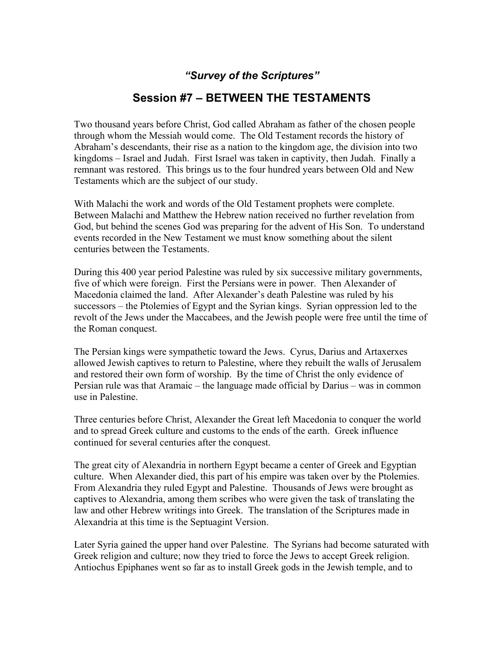## *"Survey of the Scriptures"*

## **Session #7 – BETWEEN THE TESTAMENTS**

Two thousand years before Christ, God called Abraham as father of the chosen people through whom the Messiah would come. The Old Testament records the history of Abraham's descendants, their rise as a nation to the kingdom age, the division into two kingdoms – Israel and Judah. First Israel was taken in captivity, then Judah. Finally a remnant was restored. This brings us to the four hundred years between Old and New Testaments which are the subject of our study.

With Malachi the work and words of the Old Testament prophets were complete. Between Malachi and Matthew the Hebrew nation received no further revelation from God, but behind the scenes God was preparing for the advent of His Son. To understand events recorded in the New Testament we must know something about the silent centuries between the Testaments.

During this 400 year period Palestine was ruled by six successive military governments, five of which were foreign. First the Persians were in power. Then Alexander of Macedonia claimed the land. After Alexander's death Palestine was ruled by his successors – the Ptolemies of Egypt and the Syrian kings. Syrian oppression led to the revolt of the Jews under the Maccabees, and the Jewish people were free until the time of the Roman conquest.

The Persian kings were sympathetic toward the Jews. Cyrus, Darius and Artaxerxes allowed Jewish captives to return to Palestine, where they rebuilt the walls of Jerusalem and restored their own form of worship. By the time of Christ the only evidence of Persian rule was that Aramaic – the language made official by Darius – was in common use in Palestine.

Three centuries before Christ, Alexander the Great left Macedonia to conquer the world and to spread Greek culture and customs to the ends of the earth. Greek influence continued for several centuries after the conquest.

The great city of Alexandria in northern Egypt became a center of Greek and Egyptian culture. When Alexander died, this part of his empire was taken over by the Ptolemies. From Alexandria they ruled Egypt and Palestine. Thousands of Jews were brought as captives to Alexandria, among them scribes who were given the task of translating the law and other Hebrew writings into Greek. The translation of the Scriptures made in Alexandria at this time is the Septuagint Version.

Later Syria gained the upper hand over Palestine. The Syrians had become saturated with Greek religion and culture; now they tried to force the Jews to accept Greek religion. Antiochus Epiphanes went so far as to install Greek gods in the Jewish temple, and to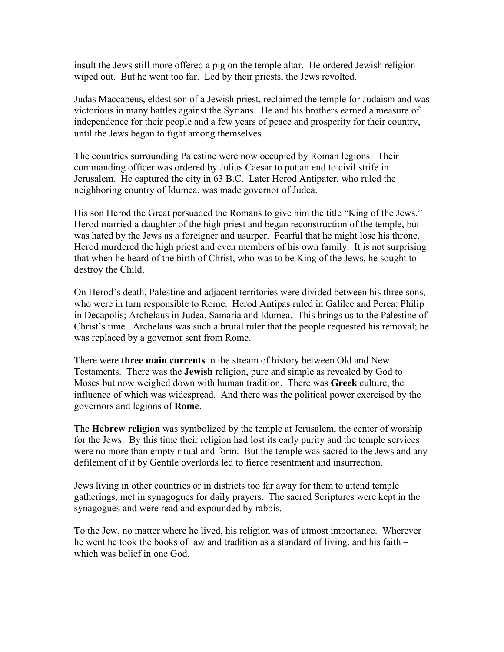insult the Jews still more offered a pig on the temple altar. He ordered Jewish religion wiped out. But he went too far. Led by their priests, the Jews revolted.

Judas Maccabeus, eldest son of a Jewish priest, reclaimed the temple for Judaism and was victorious in many battles against the Syrians. He and his brothers earned a measure of independence for their people and a few years of peace and prosperity for their country, until the Jews began to fight among themselves.

The countries surrounding Palestine were now occupied by Roman legions. Their commanding officer was ordered by Julius Caesar to put an end to civil strife in Jerusalem. He captured the city in 63 B.C. Later Herod Antipater, who ruled the neighboring country of Idumea, was made governor of Judea.

His son Herod the Great persuaded the Romans to give him the title "King of the Jews." Herod married a daughter of the high priest and began reconstruction of the temple, but was hated by the Jews as a foreigner and usurper. Fearful that he might lose his throne, Herod murdered the high priest and even members of his own family. It is not surprising that when he heard of the birth of Christ, who was to be King of the Jews, he sought to destroy the Child.

On Herod's death, Palestine and adjacent territories were divided between his three sons, who were in turn responsible to Rome. Herod Antipas ruled in Galilee and Perea; Philip in Decapolis; Archelaus in Judea, Samaria and Idumea. This brings us to the Palestine of Christ's time. Archelaus was such a brutal ruler that the people requested his removal; he was replaced by a governor sent from Rome.

There were **three main currents** in the stream of history between Old and New Testaments. There was the **Jewish** religion, pure and simple as revealed by God to Moses but now weighed down with human tradition. There was **Greek** culture, the influence of which was widespread. And there was the political power exercised by the governors and legions of **Rome**.

The **Hebrew religion** was symbolized by the temple at Jerusalem, the center of worship for the Jews. By this time their religion had lost its early purity and the temple services were no more than empty ritual and form. But the temple was sacred to the Jews and any defilement of it by Gentile overlords led to fierce resentment and insurrection.

Jews living in other countries or in districts too far away for them to attend temple gatherings, met in synagogues for daily prayers. The sacred Scriptures were kept in the synagogues and were read and expounded by rabbis.

To the Jew, no matter where he lived, his religion was of utmost importance. Wherever he went he took the books of law and tradition as a standard of living, and his faith – which was belief in one God.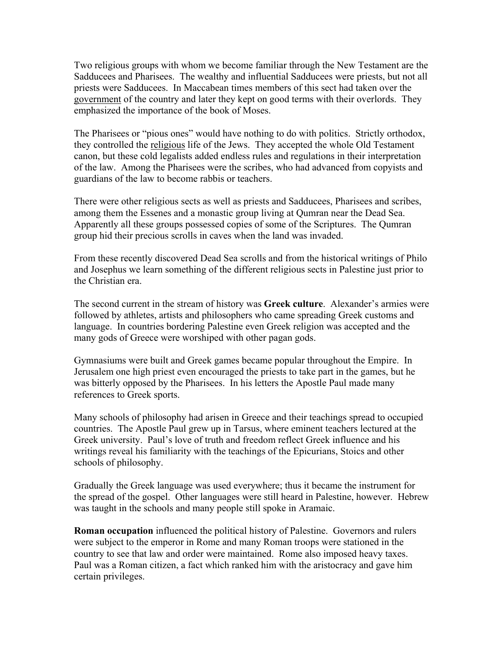Two religious groups with whom we become familiar through the New Testament are the Sadducees and Pharisees. The wealthy and influential Sadducees were priests, but not all priests were Sadducees. In Maccabean times members of this sect had taken over the government of the country and later they kept on good terms with their overlords. They emphasized the importance of the book of Moses.

The Pharisees or "pious ones" would have nothing to do with politics. Strictly orthodox, they controlled the religious life of the Jews. They accepted the whole Old Testament canon, but these cold legalists added endless rules and regulations in their interpretation of the law. Among the Pharisees were the scribes, who had advanced from copyists and guardians of the law to become rabbis or teachers.

There were other religious sects as well as priests and Sadducees, Pharisees and scribes, among them the Essenes and a monastic group living at Qumran near the Dead Sea. Apparently all these groups possessed copies of some of the Scriptures. The Qumran group hid their precious scrolls in caves when the land was invaded.

From these recently discovered Dead Sea scrolls and from the historical writings of Philo and Josephus we learn something of the different religious sects in Palestine just prior to the Christian era.

The second current in the stream of history was **Greek culture**. Alexander's armies were followed by athletes, artists and philosophers who came spreading Greek customs and language. In countries bordering Palestine even Greek religion was accepted and the many gods of Greece were worshiped with other pagan gods.

Gymnasiums were built and Greek games became popular throughout the Empire. In Jerusalem one high priest even encouraged the priests to take part in the games, but he was bitterly opposed by the Pharisees. In his letters the Apostle Paul made many references to Greek sports.

Many schools of philosophy had arisen in Greece and their teachings spread to occupied countries. The Apostle Paul grew up in Tarsus, where eminent teachers lectured at the Greek university. Paul's love of truth and freedom reflect Greek influence and his writings reveal his familiarity with the teachings of the Epicurians, Stoics and other schools of philosophy.

Gradually the Greek language was used everywhere; thus it became the instrument for the spread of the gospel. Other languages were still heard in Palestine, however. Hebrew was taught in the schools and many people still spoke in Aramaic.

**Roman occupation** influenced the political history of Palestine. Governors and rulers were subject to the emperor in Rome and many Roman troops were stationed in the country to see that law and order were maintained. Rome also imposed heavy taxes. Paul was a Roman citizen, a fact which ranked him with the aristocracy and gave him certain privileges.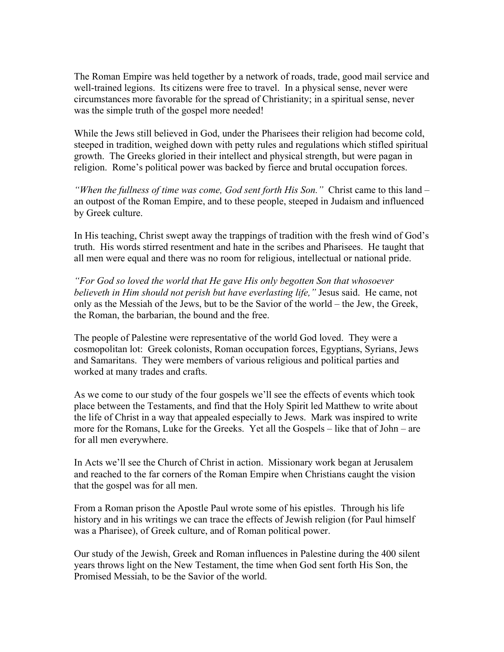The Roman Empire was held together by a network of roads, trade, good mail service and well-trained legions. Its citizens were free to travel. In a physical sense, never were circumstances more favorable for the spread of Christianity; in a spiritual sense, never was the simple truth of the gospel more needed!

While the Jews still believed in God, under the Pharisees their religion had become cold, steeped in tradition, weighed down with petty rules and regulations which stifled spiritual growth. The Greeks gloried in their intellect and physical strength, but were pagan in religion. Rome's political power was backed by fierce and brutal occupation forces.

*"When the fullness of time was come, God sent forth His Son."* Christ came to this land – an outpost of the Roman Empire, and to these people, steeped in Judaism and influenced by Greek culture.

In His teaching, Christ swept away the trappings of tradition with the fresh wind of God's truth. His words stirred resentment and hate in the scribes and Pharisees. He taught that all men were equal and there was no room for religious, intellectual or national pride.

*"For God so loved the world that He gave His only begotten Son that whosoever believeth in Him should not perish but have everlasting life,"* Jesus said. He came, not only as the Messiah of the Jews, but to be the Savior of the world – the Jew, the Greek, the Roman, the barbarian, the bound and the free.

The people of Palestine were representative of the world God loved. They were a cosmopolitan lot: Greek colonists, Roman occupation forces, Egyptians, Syrians, Jews and Samaritans. They were members of various religious and political parties and worked at many trades and crafts.

As we come to our study of the four gospels we'll see the effects of events which took place between the Testaments, and find that the Holy Spirit led Matthew to write about the life of Christ in a way that appealed especially to Jews. Mark was inspired to write more for the Romans, Luke for the Greeks. Yet all the Gospels – like that of John – are for all men everywhere.

In Acts we'll see the Church of Christ in action. Missionary work began at Jerusalem and reached to the far corners of the Roman Empire when Christians caught the vision that the gospel was for all men.

From a Roman prison the Apostle Paul wrote some of his epistles. Through his life history and in his writings we can trace the effects of Jewish religion (for Paul himself was a Pharisee), of Greek culture, and of Roman political power.

Our study of the Jewish, Greek and Roman influences in Palestine during the 400 silent years throws light on the New Testament, the time when God sent forth His Son, the Promised Messiah, to be the Savior of the world.